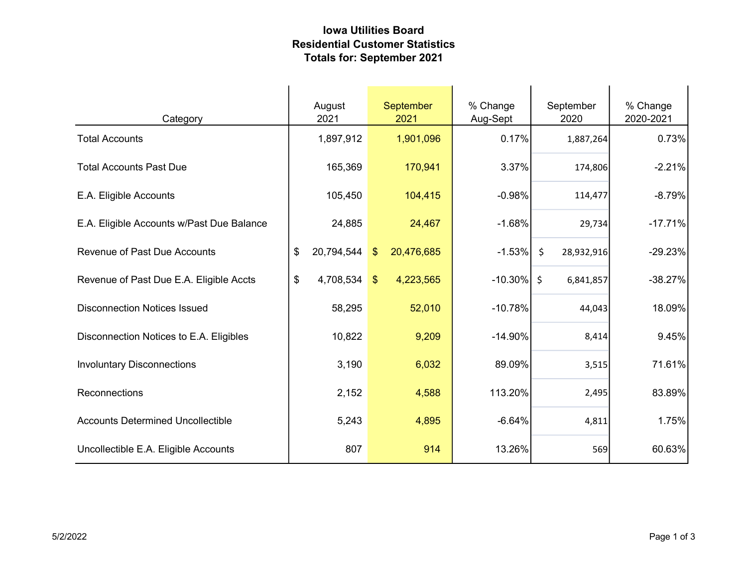## Iowa Utilities Board Residential Customer Statistics Totals for: September 2021

| Category                                  | August<br>2021   | <b>September</b><br>2021             | % Change<br>Aug-Sept | September<br>2020     | % Change<br>2020-2021 |
|-------------------------------------------|------------------|--------------------------------------|----------------------|-----------------------|-----------------------|
| <b>Total Accounts</b>                     | 1,897,912        | 1,901,096                            | 0.17%                | 1,887,264             | 0.73%                 |
| <b>Total Accounts Past Due</b>            | 165,369          | 170,941                              | 3.37%                | 174,806               | $-2.21%$              |
| E.A. Eligible Accounts                    | 105,450          | 104,415                              | $-0.98%$             | 114,477               | $-8.79%$              |
| E.A. Eligible Accounts w/Past Due Balance | 24,885           | 24,467                               | $-1.68%$             | 29,734                | $-17.71%$             |
| <b>Revenue of Past Due Accounts</b>       | \$<br>20,794,544 | 20,476,685<br>$\sqrt[6]{3}$          | $-1.53\%$            | $\zeta$<br>28,932,916 | $-29.23%$             |
| Revenue of Past Due E.A. Eligible Accts   | \$<br>4,708,534  | $\sqrt[6]{\frac{1}{2}}$<br>4,223,565 | $-10.30\%$ \$        | 6,841,857             | $-38.27%$             |
| <b>Disconnection Notices Issued</b>       | 58,295           | 52,010                               | $-10.78%$            | 44,043                | 18.09%                |
| Disconnection Notices to E.A. Eligibles   | 10,822           | 9,209                                | $-14.90%$            | 8,414                 | 9.45%                 |
| <b>Involuntary Disconnections</b>         | 3,190            | 6,032                                | 89.09%               | 3,515                 | 71.61%                |
| Reconnections                             | 2,152            | 4,588                                | 113.20%              | 2,495                 | 83.89%                |
| <b>Accounts Determined Uncollectible</b>  | 5,243            | 4,895                                | $-6.64%$             | 4,811                 | 1.75%                 |
| Uncollectible E.A. Eligible Accounts      | 807              | 914                                  | 13.26%               | 569                   | 60.63%                |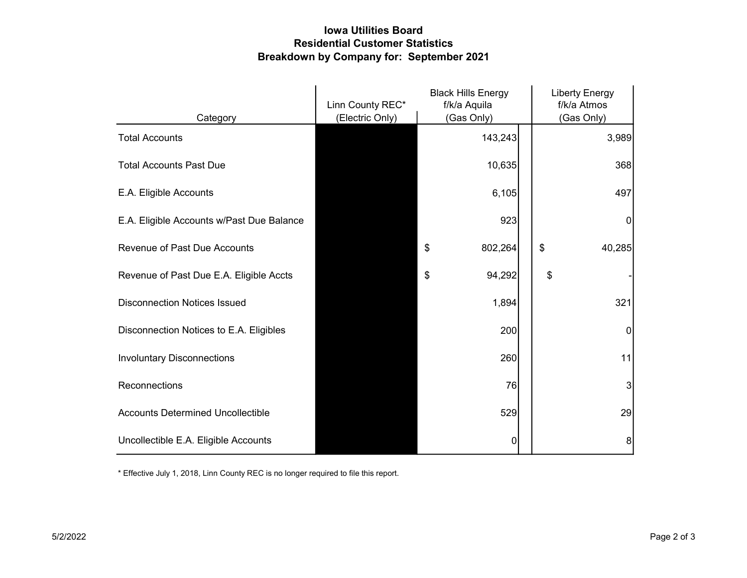## Iowa Utilities Board Residential Customer Statistics Breakdown by Company for: September 2021

|                                           | <b>Black Hills Energy</b><br>Linn County REC*<br>f/k/a Aquila |               | <b>Liberty Energy</b><br>f/k/a Atmos |
|-------------------------------------------|---------------------------------------------------------------|---------------|--------------------------------------|
| Category                                  | (Electric Only)                                               | (Gas Only)    | (Gas Only)                           |
| <b>Total Accounts</b>                     |                                                               | 143,243       | 3,989                                |
| <b>Total Accounts Past Due</b>            |                                                               | 10,635        | 368                                  |
| E.A. Eligible Accounts                    |                                                               | 6,105         | 497                                  |
| E.A. Eligible Accounts w/Past Due Balance |                                                               | 923           | 0                                    |
| <b>Revenue of Past Due Accounts</b>       |                                                               | \$<br>802,264 | \$<br>40,285                         |
| Revenue of Past Due E.A. Eligible Accts   |                                                               | 94,292<br>\$  | \$                                   |
| <b>Disconnection Notices Issued</b>       |                                                               | 1,894         | 321                                  |
| Disconnection Notices to E.A. Eligibles   |                                                               | 200           | 0                                    |
| <b>Involuntary Disconnections</b>         |                                                               | 260           | 11                                   |
| Reconnections                             |                                                               | 76            | 3                                    |
| <b>Accounts Determined Uncollectible</b>  |                                                               | 529           | 29                                   |
| Uncollectible E.A. Eligible Accounts      |                                                               | 0             | 8                                    |

\* Effective July 1, 2018, Linn County REC is no longer required to file this report.